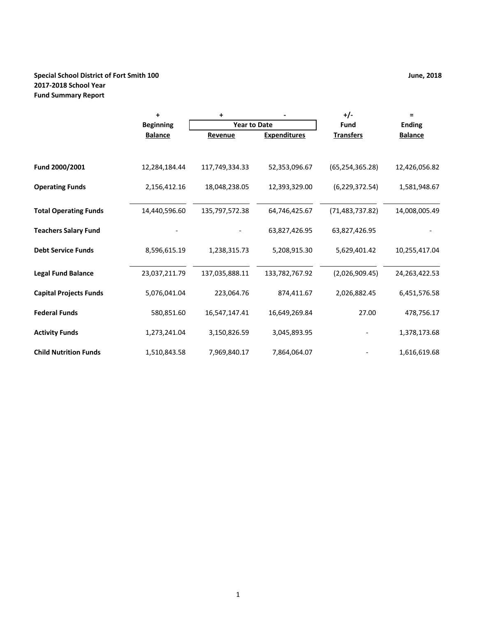## **Special School District of Fort Smith 100 June, 2018 2017‐2018 School Year Fund Summary Report**

|                               | $\ddot{}$        | +                   |                     | +/-               | $\equiv$         |
|-------------------------------|------------------|---------------------|---------------------|-------------------|------------------|
|                               | <b>Beginning</b> | <b>Year to Date</b> |                     | Fund              | <b>Ending</b>    |
|                               | <b>Balance</b>   | Revenue             | <b>Expenditures</b> | <b>Transfers</b>  | <b>Balance</b>   |
|                               |                  |                     |                     |                   |                  |
| Fund 2000/2001                | 12,284,184.44    | 117,749,334.33      | 52,353,096.67       | (65, 254, 365.28) | 12,426,056.82    |
| <b>Operating Funds</b>        | 2,156,412.16     | 18,048,238.05       | 12,393,329.00       | (6, 229, 372.54)  | 1,581,948.67     |
| <b>Total Operating Funds</b>  | 14,440,596.60    | 135,797,572.38      | 64,746,425.67       | (71, 483, 737.82) | 14,008,005.49    |
| <b>Teachers Salary Fund</b>   |                  |                     | 63,827,426.95       | 63,827,426.95     |                  |
| <b>Debt Service Funds</b>     | 8,596,615.19     | 1,238,315.73        | 5,208,915.30        | 5,629,401.42      | 10,255,417.04    |
| <b>Legal Fund Balance</b>     | 23,037,211.79    | 137,035,888.11      | 133,782,767.92      | (2,026,909.45)    | 24, 263, 422. 53 |
| <b>Capital Projects Funds</b> | 5,076,041.04     | 223,064.76          | 874,411.67          | 2,026,882.45      | 6,451,576.58     |
| <b>Federal Funds</b>          | 580,851.60       | 16,547,147.41       | 16,649,269.84       | 27.00             | 478,756.17       |
| <b>Activity Funds</b>         | 1,273,241.04     | 3,150,826.59        | 3,045,893.95        |                   | 1,378,173.68     |
| <b>Child Nutrition Funds</b>  | 1,510,843.58     | 7,969,840.17        | 7,864,064.07        |                   | 1,616,619.68     |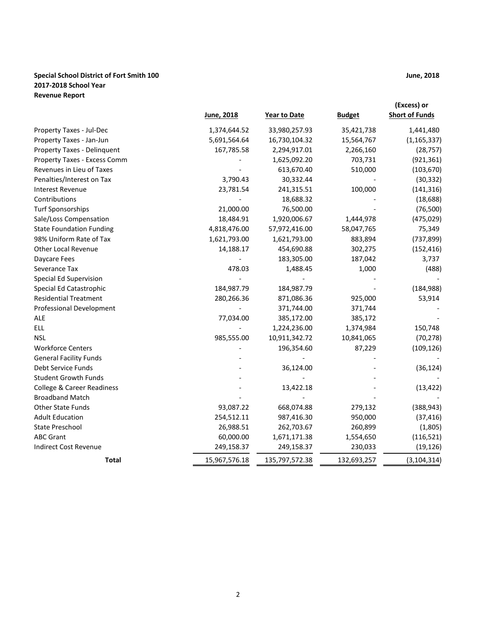## **Special School District of Fort Smith 100 June, 2018 2017‐2018 School Year Revenue Report**

|                                       | June, 2018    | Year to Date   | <b>Budget</b> | (Excess) or<br><b>Short of Funds</b> |
|---------------------------------------|---------------|----------------|---------------|--------------------------------------|
| Property Taxes - Jul-Dec              | 1,374,644.52  | 33,980,257.93  | 35,421,738    | 1,441,480                            |
| Property Taxes - Jan-Jun              | 5,691,564.64  | 16,730,104.32  | 15,564,767    | (1, 165, 337)                        |
| Property Taxes - Delinquent           | 167,785.58    | 2,294,917.01   | 2,266,160     | (28, 757)                            |
| Property Taxes - Excess Comm          |               | 1,625,092.20   | 703,731       | (921, 361)                           |
| Revenues in Lieu of Taxes             |               | 613,670.40     | 510,000       | (103, 670)                           |
| Penalties/Interest on Tax             | 3,790.43      | 30,332.44      |               | (30, 332)                            |
| <b>Interest Revenue</b>               | 23,781.54     | 241,315.51     | 100,000       | (141, 316)                           |
| Contributions                         |               | 18,688.32      |               | (18, 688)                            |
| <b>Turf Sponsorships</b>              | 21,000.00     | 76,500.00      |               | (76, 500)                            |
| Sale/Loss Compensation                | 18,484.91     | 1,920,006.67   | 1,444,978     | (475, 029)                           |
| <b>State Foundation Funding</b>       | 4,818,476.00  | 57,972,416.00  | 58,047,765    | 75,349                               |
| 98% Uniform Rate of Tax               | 1,621,793.00  | 1,621,793.00   | 883,894       | (737, 899)                           |
| Other Local Revenue                   | 14,188.17     | 454,690.88     | 302,275       | (152, 416)                           |
| Daycare Fees                          |               | 183,305.00     | 187,042       | 3,737                                |
| Severance Tax                         | 478.03        | 1,488.45       | 1,000         | (488)                                |
| Special Ed Supervision                |               |                |               |                                      |
| Special Ed Catastrophic               | 184,987.79    | 184,987.79     |               | (184, 988)                           |
| <b>Residential Treatment</b>          | 280,266.36    | 871,086.36     | 925,000       | 53,914                               |
| Professional Development              |               | 371,744.00     | 371,744       |                                      |
| <b>ALE</b>                            | 77,034.00     | 385,172.00     | 385,172       |                                      |
| <b>ELL</b>                            |               | 1,224,236.00   | 1,374,984     | 150,748                              |
| <b>NSL</b>                            | 985,555.00    | 10,911,342.72  | 10,841,065    | (70, 278)                            |
| <b>Workforce Centers</b>              |               | 196,354.60     | 87,229        | (109, 126)                           |
| <b>General Facility Funds</b>         |               |                |               |                                      |
| Debt Service Funds                    |               | 36,124.00      |               | (36, 124)                            |
| <b>Student Growth Funds</b>           |               |                |               |                                      |
| <b>College &amp; Career Readiness</b> |               | 13,422.18      |               | (13, 422)                            |
| <b>Broadband Match</b>                |               |                |               |                                      |
| Other State Funds                     | 93,087.22     | 668,074.88     | 279,132       | (388, 943)                           |
| <b>Adult Education</b>                | 254,512.11    | 987,416.30     | 950,000       | (37, 416)                            |
| <b>State Preschool</b>                | 26,988.51     | 262,703.67     | 260,899       | (1,805)                              |
| <b>ABC Grant</b>                      | 60,000.00     | 1,671,171.38   | 1,554,650     | (116, 521)                           |
| <b>Indirect Cost Revenue</b>          | 249,158.37    | 249,158.37     | 230,033       | (19, 126)                            |
| Total                                 | 15,967,576.18 | 135,797,572.38 | 132,693,257   | (3, 104, 314)                        |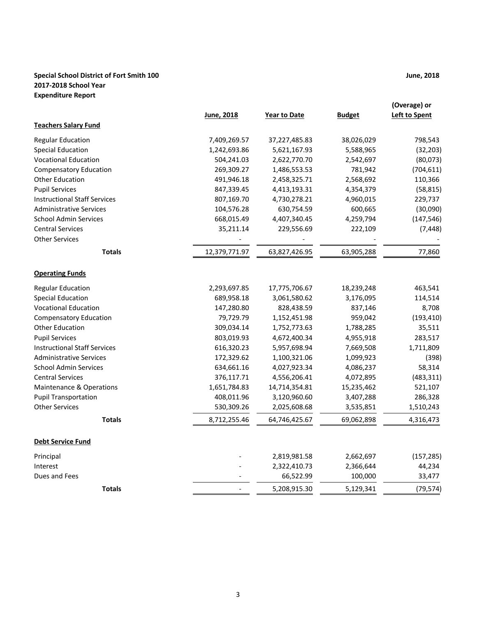## **Special School District of Fort Smith 100 June, 2018 2017‐2018 School Year Expenditure Report**

|                                     | June, 2018    | <b>Year to Date</b> | <b>Budget</b> | (Overage) or<br><b>Left to Spent</b> |
|-------------------------------------|---------------|---------------------|---------------|--------------------------------------|
| <b>Teachers Salary Fund</b>         |               |                     |               |                                      |
| <b>Regular Education</b>            | 7,409,269.57  | 37,227,485.83       | 38,026,029    | 798,543                              |
| <b>Special Education</b>            | 1,242,693.86  | 5,621,167.93        | 5,588,965     | (32, 203)                            |
| <b>Vocational Education</b>         | 504,241.03    | 2,622,770.70        | 2,542,697     | (80,073)                             |
| <b>Compensatory Education</b>       | 269,309.27    | 1,486,553.53        | 781,942       | (704, 611)                           |
| <b>Other Education</b>              | 491,946.18    | 2,458,325.71        | 2,568,692     | 110,366                              |
| <b>Pupil Services</b>               | 847,339.45    | 4,413,193.31        | 4,354,379     | (58, 815)                            |
| <b>Instructional Staff Services</b> | 807,169.70    | 4,730,278.21        | 4,960,015     | 229,737                              |
| <b>Administrative Services</b>      | 104,576.28    | 630,754.59          | 600,665       | (30,090)                             |
| <b>School Admin Services</b>        | 668,015.49    | 4,407,340.45        | 4,259,794     | (147, 546)                           |
| <b>Central Services</b>             | 35,211.14     | 229,556.69          | 222,109       | (7, 448)                             |
| <b>Other Services</b>               |               |                     |               |                                      |
| <b>Totals</b>                       | 12,379,771.97 | 63,827,426.95       | 63,905,288    | 77,860                               |
| <b>Operating Funds</b>              |               |                     |               |                                      |
| <b>Regular Education</b>            | 2,293,697.85  | 17,775,706.67       | 18,239,248    | 463,541                              |
| <b>Special Education</b>            | 689,958.18    | 3,061,580.62        | 3,176,095     | 114,514                              |
| <b>Vocational Education</b>         | 147,280.80    | 828,438.59          | 837,146       | 8,708                                |
| <b>Compensatory Education</b>       | 79,729.79     | 1,152,451.98        | 959,042       | (193, 410)                           |
| <b>Other Education</b>              | 309,034.14    | 1,752,773.63        | 1,788,285     | 35,511                               |
| <b>Pupil Services</b>               | 803,019.93    | 4,672,400.34        | 4,955,918     | 283,517                              |
| <b>Instructional Staff Services</b> | 616,320.23    | 5,957,698.94        | 7,669,508     | 1,711,809                            |
| <b>Administrative Services</b>      | 172,329.62    | 1,100,321.06        | 1,099,923     | (398)                                |
| <b>School Admin Services</b>        | 634,661.16    | 4,027,923.34        | 4,086,237     | 58,314                               |
| <b>Central Services</b>             | 376,117.71    | 4,556,206.41        | 4,072,895     | (483, 311)                           |
| <b>Maintenance &amp; Operations</b> | 1,651,784.83  | 14,714,354.81       | 15,235,462    | 521,107                              |
| <b>Pupil Transportation</b>         | 408,011.96    | 3,120,960.60        | 3,407,288     | 286,328                              |
| <b>Other Services</b>               | 530,309.26    | 2,025,608.68        | 3,535,851     | 1,510,243                            |
| <b>Totals</b>                       | 8,712,255.46  | 64,746,425.67       | 69,062,898    | 4,316,473                            |
| <b>Debt Service Fund</b>            |               |                     |               |                                      |
| Principal                           |               | 2,819,981.58        | 2,662,697     | (157, 285)                           |
| Interest                            |               | 2,322,410.73        | 2,366,644     | 44,234                               |
| Dues and Fees                       |               | 66,522.99           | 100,000       | 33,477                               |
| <b>Totals</b>                       |               | 5,208,915.30        | 5,129,341     | (79, 574)                            |